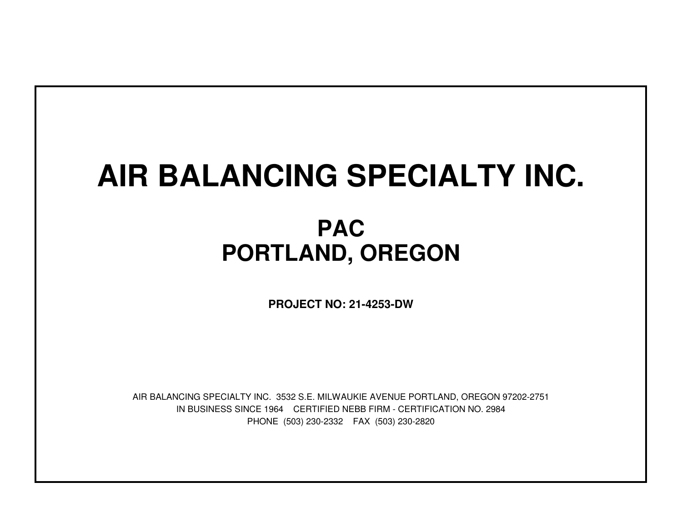# **AIR BALANCING SPECIALTY INC.**

## **PACPORTLAND, OREGON**

**PROJECT NO: 21-4253-DW**

IN BUSINESS SINCE 1964 CERTIFIED NEBB FIRM - CERTIFICATION NO. 2984PHONE (503) 230-2332 FAX (503) 230-2820AIR BALANCING SPECIALTY INC. 3532 S.E. MILWAUKIE AVENUE PORTLAND, OREGON 97202-2751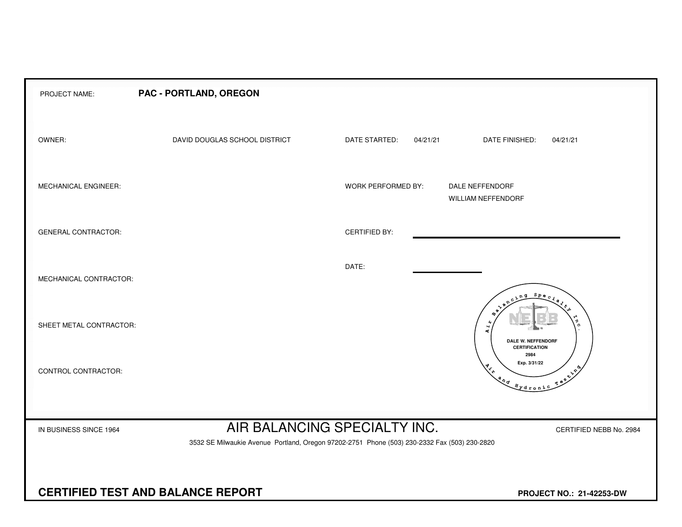| PROJECT NAME:              | PAC - PORTLAND, OREGON                                                                                                       |                           |                                                                                                                                                                                                                                                                                                                                                                                                                                                             |
|----------------------------|------------------------------------------------------------------------------------------------------------------------------|---------------------------|-------------------------------------------------------------------------------------------------------------------------------------------------------------------------------------------------------------------------------------------------------------------------------------------------------------------------------------------------------------------------------------------------------------------------------------------------------------|
| OWNER:                     | DAVID DOUGLAS SCHOOL DISTRICT                                                                                                | DATE STARTED:<br>04/21/21 | DATE FINISHED:<br>04/21/21                                                                                                                                                                                                                                                                                                                                                                                                                                  |
| MECHANICAL ENGINEER:       |                                                                                                                              | <b>WORK PERFORMED BY:</b> | DALE NEFFENDORF<br>WILLIAM NEFFENDORF                                                                                                                                                                                                                                                                                                                                                                                                                       |
| <b>GENERAL CONTRACTOR:</b> |                                                                                                                              | <b>CERTIFIED BY:</b>      |                                                                                                                                                                                                                                                                                                                                                                                                                                                             |
| MECHANICAL CONTRACTOR:     |                                                                                                                              | DATE:                     |                                                                                                                                                                                                                                                                                                                                                                                                                                                             |
| SHEET METAL CONTRACTOR:    |                                                                                                                              |                           | Spe<br>$\Omega$<br>$\ddot{ }$<br>ĸ,<br>DALE W. NEFFENDORF<br><b>CERTIFICATION</b>                                                                                                                                                                                                                                                                                                                                                                           |
| CONTROL CONTRACTOR:        |                                                                                                                              |                           | 2984<br>Exp. 3/31/22<br>$\star^*$<br>$\mathbf{v}^{\mathbf{v}^\mathbf{\Phi}}$<br>$\begin{picture}(180,170) \put(0,0){\vector(1,0){10}} \put(15,0){\vector(1,0){10}} \put(15,0){\vector(1,0){10}} \put(15,0){\vector(1,0){10}} \put(15,0){\vector(1,0){10}} \put(15,0){\vector(1,0){10}} \put(15,0){\vector(1,0){10}} \put(15,0){\vector(1,0){10}} \put(15,0){\vector(1,0){10}} \put(15,0){\vector(1,0){10}} \put(15,0){\vector(1,0){10}} \put(15,0){\vector$ |
| IN BUSINESS SINCE 1964     | AIR BALANCING SPECIALTY INC.<br>3532 SE Milwaukie Avenue Portland, Oregon 97202-2751 Phone (503) 230-2332 Fax (503) 230-2820 |                           | CERTIFIED NEBB No. 2984                                                                                                                                                                                                                                                                                                                                                                                                                                     |
|                            | <b>CERTIFIED TEST AND BALANCE REPORT</b>                                                                                     |                           | PROJECT NO.: 21-42253-DW                                                                                                                                                                                                                                                                                                                                                                                                                                    |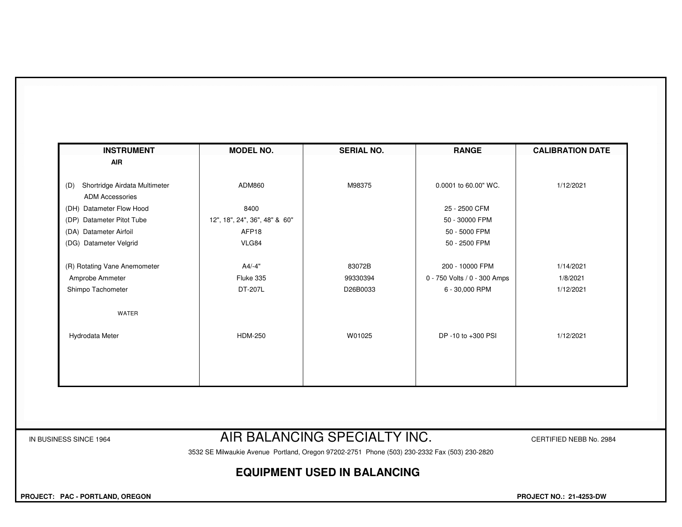| <b>INSTRUMENT</b>                    | <b>MODEL NO.</b>              | <b>SERIAL NO.</b> | <b>RANGE</b>                 | <b>CALIBRATION DATE</b> |
|--------------------------------------|-------------------------------|-------------------|------------------------------|-------------------------|
| <b>AIR</b>                           |                               |                   |                              |                         |
|                                      |                               |                   |                              |                         |
| Shortridge Airdata Multimeter<br>(D) | ADM860                        | M98375            | 0.0001 to 60.00" WC.         | 1/12/2021               |
| <b>ADM Accessories</b>               |                               |                   |                              |                         |
| (DH) Datameter Flow Hood             | 8400                          |                   | 25 - 2500 CFM                |                         |
| (DP) Datameter Pitot Tube            | 12", 18", 24", 36", 48" & 60" |                   | 50 - 30000 FPM               |                         |
| (DA) Datameter Airfoil               | AFP18                         |                   | 50 - 5000 FPM                |                         |
| (DG) Datameter Velgrid               | VLG84                         |                   | 50 - 2500 FPM                |                         |
| (R) Rotating Vane Anemometer         | A4/-4"                        | 83072B            | 200 - 10000 FPM              | 1/14/2021               |
| Amprobe Ammeter                      | Fluke 335                     | 99330394          | 0 - 750 Volts / 0 - 300 Amps | 1/8/2021                |
| Shimpo Tachometer                    | DT-207L                       | D26B0033          | 6 - 30,000 RPM               | 1/12/2021               |
| WATER                                |                               |                   |                              |                         |
| Hydrodata Meter                      | <b>HDM-250</b>                | W01025            | DP -10 to +300 PSI           | 1/12/2021               |
|                                      |                               |                   |                              |                         |
|                                      |                               |                   |                              |                         |
|                                      |                               |                   |                              |                         |

### IN BUSINESS SINCE 1964 **AIR BALANCING SPECIALTY INC.** CERTIFIED NEBB No. 2984

3532 SE Milwaukie Avenue Portland, Oregon 97202-2751 Phone (503) 230-2332 Fax (503) 230-2820

#### **EQUIPMENT USED IN BALANCING**

 **PROJECT: PAC - PORTLAND, OREGON PROJECT NO.: 21-4253-DW**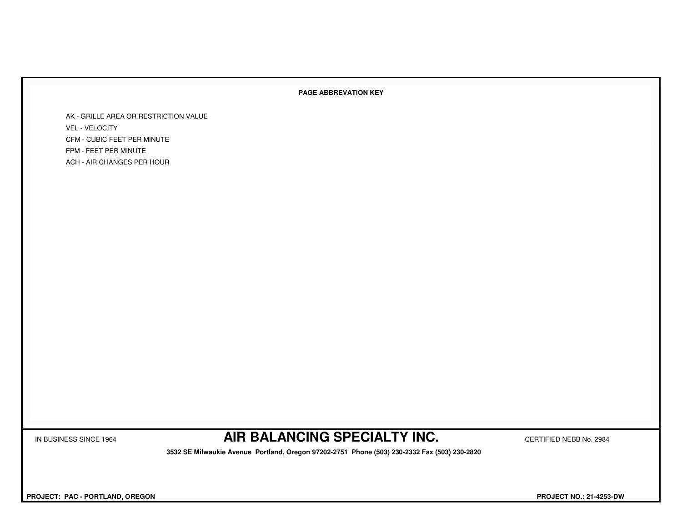#### **PAGE ABBREVATION KEY**

AK - GRILLE AREA OR RESTRICTION VALUEVEL - VELOCITY CFM - CUBIC FEET PER MINUTEFPM - FEET PER MINUTEACH - AIR CHANGES PER HOUR

IN BUSINESS SINCE 1964 **AIR BALANCING SPECIALTY INC.** CERTIFIED NEBB No. 2984

 **3532 SE Milwaukie Avenue Portland, Oregon 97202-2751 Phone (503) 230-2332 Fax (503) 230-2820**

 **PROJECT: PAC - PORTLAND, OREGON PROJECT NO.: 21-4253-DW**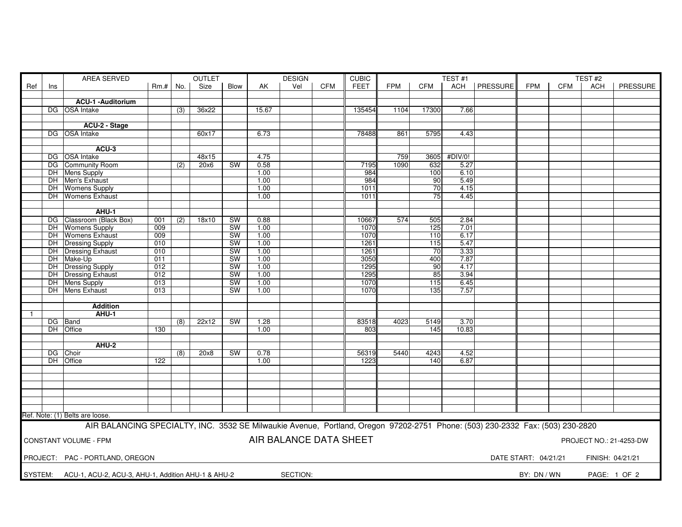|                |     | AREA SERVED<br><b>OUTLET</b>                                                                                                  |                  |     | <b>DESIGN</b><br><b>CUBIC</b> |           |       |                        |            |             |            |                 | TEST#1       |                | TEST#2               |     |                  |                         |
|----------------|-----|-------------------------------------------------------------------------------------------------------------------------------|------------------|-----|-------------------------------|-----------|-------|------------------------|------------|-------------|------------|-----------------|--------------|----------------|----------------------|-----|------------------|-------------------------|
| Ref            | Ins |                                                                                                                               | $Rm.+$ No.       |     | Size                          | Blow      | AK    | Vel                    | <b>CFM</b> | <b>FEET</b> | <b>FPM</b> | CFM             |              | ACH   PRESSURE | <b>FPM</b>           | CFM | <b>ACH</b>       | PRESSURE                |
|                |     |                                                                                                                               |                  |     |                               |           |       |                        |            |             |            |                 |              |                |                      |     |                  |                         |
|                |     | ACU-1 - Auditorium                                                                                                            |                  |     |                               |           |       |                        |            |             |            |                 |              |                |                      |     |                  |                         |
|                |     | DG OSA Intake                                                                                                                 |                  | (3) | 36x22                         |           | 15.67 |                        |            | 135454      | 1104       | 17300           | 7.66         |                |                      |     |                  |                         |
|                |     |                                                                                                                               |                  |     |                               |           |       |                        |            |             |            |                 |              |                |                      |     |                  |                         |
|                |     |                                                                                                                               |                  |     |                               |           |       |                        |            |             |            |                 |              |                |                      |     |                  |                         |
|                |     | ACU-2 - Stage                                                                                                                 |                  |     |                               |           |       |                        |            |             |            |                 |              |                |                      |     |                  |                         |
|                |     | DG OSA Intake                                                                                                                 |                  |     | 60x17                         |           | 6.73  |                        |            | 78488       | 861        | 5795            | 4.43         |                |                      |     |                  |                         |
|                |     |                                                                                                                               |                  |     |                               |           |       |                        |            |             |            |                 |              |                |                      |     |                  |                         |
|                |     | ACU-3                                                                                                                         |                  |     |                               |           |       |                        |            |             |            |                 |              |                |                      |     |                  |                         |
|                |     | DG OSA Intake                                                                                                                 |                  |     | 48x15                         |           | 4.75  |                        |            |             | 759        |                 | 3605 #DIV/0! |                |                      |     |                  |                         |
|                |     | DG Community Room                                                                                                             |                  | (2) | 20x6                          | <b>SW</b> | 0.58  |                        |            | 7195        | 1090       | 632             | 5.27         |                |                      |     |                  |                         |
|                |     | DH Mens Supply                                                                                                                |                  |     |                               |           | 1.00  |                        |            | 984         |            | 100             | 6.10         |                |                      |     |                  |                         |
|                |     | DH Men's Exhaust                                                                                                              |                  |     |                               |           | 1.00  |                        |            | 984         |            | 90 <sub>1</sub> | 5.49         |                |                      |     |                  |                         |
|                |     | DH Womens Supply                                                                                                              |                  |     |                               |           | 1.00  |                        |            | 1011        |            | 70              | 4.15         |                |                      |     |                  |                         |
|                |     | <b>DH</b> Womens Exhaust                                                                                                      |                  |     |                               |           | 1.00  |                        |            | 1011        |            | 75              | 4.45         |                |                      |     |                  |                         |
|                |     |                                                                                                                               |                  |     |                               |           |       |                        |            |             |            |                 |              |                |                      |     |                  |                         |
|                |     | AHU-1                                                                                                                         |                  |     |                               |           |       |                        |            |             |            |                 |              |                |                      |     |                  |                         |
|                |     | DG Classroom (Black Box)                                                                                                      | 001              | (2) | 18x10                         | SW        | 0.88  |                        |            | 10667       | 574        | 505             | 2.84         |                |                      |     |                  |                         |
|                |     | DH Womens Supply                                                                                                              | 009              |     |                               | <b>SW</b> | 1.00  |                        |            | 1070        |            | 125             | 7.01         |                |                      |     |                  |                         |
|                |     | DH Womens Exhaust                                                                                                             | 009              |     |                               | <b>SW</b> | 1.00  |                        |            | 1070        |            | 110             | 6.17         |                |                      |     |                  |                         |
|                |     | DH Dressing Supply                                                                                                            | 010              |     |                               | SW        | 1.00  |                        |            | 1261        |            | 115             | 5.47         |                |                      |     |                  |                         |
|                |     | DH Dressing Exhaust                                                                                                           |                  |     |                               |           |       |                        |            |             |            |                 | 3.33         |                |                      |     |                  |                         |
|                |     |                                                                                                                               | 010              |     |                               | SW        | 1.00  |                        |            | 1261        |            | 70              |              |                |                      |     |                  |                         |
|                |     | DH Make-Up                                                                                                                    | 011              |     |                               | <b>SW</b> | 1.00  |                        |            | 3050        |            | 400             | 7.87         |                |                      |     |                  |                         |
|                |     | DH Dressing Supply                                                                                                            | $\overline{012}$ |     |                               | SW        | 1.00  |                        |            | 1295        |            | 90              | 4.17         |                |                      |     |                  |                         |
|                |     | DH Dressing Exhaust                                                                                                           | 012              |     |                               | SW        | 1.00  |                        |            | 1295        |            | 85              | 3.94         |                |                      |     |                  |                         |
|                |     | DH Mens Supply                                                                                                                | 013              |     |                               | <b>SW</b> | 1.00  |                        |            | 1070        |            | 115             | 6.45         |                |                      |     |                  |                         |
|                |     | DH Mens Exhaust                                                                                                               | 013              |     |                               | SW        | 1.00  |                        |            | 1070        |            | 135             | 7.57         |                |                      |     |                  |                         |
|                |     |                                                                                                                               |                  |     |                               |           |       |                        |            |             |            |                 |              |                |                      |     |                  |                         |
|                |     | <b>Addition</b>                                                                                                               |                  |     |                               |           |       |                        |            |             |            |                 |              |                |                      |     |                  |                         |
| $\overline{1}$ |     | AHU-1                                                                                                                         |                  |     |                               |           |       |                        |            |             |            |                 |              |                |                      |     |                  |                         |
|                |     | DG Band                                                                                                                       |                  | (8) | 22x12                         | <b>SW</b> | 1.28  |                        |            | 83518       | 4023       | 5149            | 3.70         |                |                      |     |                  |                         |
|                |     | DH Office                                                                                                                     | 130              |     |                               |           | 1.00  |                        |            | 803         |            | 145             | 10.83        |                |                      |     |                  |                         |
|                |     |                                                                                                                               |                  |     |                               |           |       |                        |            |             |            |                 |              |                |                      |     |                  |                         |
|                |     | <b>AHU-2</b>                                                                                                                  |                  |     |                               |           |       |                        |            |             |            |                 |              |                |                      |     |                  |                         |
|                |     | DG Choir                                                                                                                      |                  | (8) | 20x8                          | <b>SW</b> | 0.78  |                        |            | 56319       | 5440       | 4243            | 4.52         |                |                      |     |                  |                         |
|                |     | DH Office                                                                                                                     | 122              |     |                               |           | 1.00  |                        |            | 1223        |            | 140             | 6.87         |                |                      |     |                  |                         |
|                |     |                                                                                                                               |                  |     |                               |           |       |                        |            |             |            |                 |              |                |                      |     |                  |                         |
|                |     |                                                                                                                               |                  |     |                               |           |       |                        |            |             |            |                 |              |                |                      |     |                  |                         |
|                |     |                                                                                                                               |                  |     |                               |           |       |                        |            |             |            |                 |              |                |                      |     |                  |                         |
|                |     |                                                                                                                               |                  |     |                               |           |       |                        |            |             |            |                 |              |                |                      |     |                  |                         |
|                |     |                                                                                                                               |                  |     |                               |           |       |                        |            |             |            |                 |              |                |                      |     |                  |                         |
|                |     |                                                                                                                               |                  |     |                               |           |       |                        |            |             |            |                 |              |                |                      |     |                  |                         |
|                |     |                                                                                                                               |                  |     |                               |           |       |                        |            |             |            |                 |              |                |                      |     |                  |                         |
|                |     | Ref. Note: (1) Belts are loose.                                                                                               |                  |     |                               |           |       |                        |            |             |            |                 |              |                |                      |     |                  |                         |
|                |     | AIR BALANCING SPECIALTY, INC. 3532 SE Milwaukie Avenue, Portland, Oregon 97202-2751 Phone: (503) 230-2332 Fax: (503) 230-2820 |                  |     |                               |           |       |                        |            |             |            |                 |              |                |                      |     |                  |                         |
|                |     |                                                                                                                               |                  |     |                               |           |       |                        |            |             |            |                 |              |                |                      |     |                  |                         |
|                |     | CONSTANT VOLUME - FPM                                                                                                         |                  |     |                               |           |       | AIR BALANCE DATA SHEET |            |             |            |                 |              |                |                      |     |                  | PROJECT NO.: 21-4253-DW |
|                |     |                                                                                                                               |                  |     |                               |           |       |                        |            |             |            |                 |              |                |                      |     |                  |                         |
|                |     | PROJECT: PAC - PORTLAND, OREGON                                                                                               |                  |     |                               |           |       |                        |            |             |            |                 |              |                | DATE START: 04/21/21 |     | FINISH: 04/21/21 |                         |
|                |     |                                                                                                                               |                  |     |                               |           |       |                        |            |             |            |                 |              |                |                      |     |                  |                         |
|                |     |                                                                                                                               |                  |     |                               |           |       |                        |            |             |            |                 |              |                |                      |     |                  |                         |
| SYSTEM:        |     | ACU-1, ACU-2, ACU-3, AHU-1, Addition AHU-1 & AHU-2                                                                            |                  |     |                               |           |       | SECTION:               |            |             |            |                 |              |                | BY: DN / WN          |     |                  | PAGE: 1 OF 2            |
|                |     |                                                                                                                               |                  |     |                               |           |       |                        |            |             |            |                 |              |                |                      |     |                  |                         |